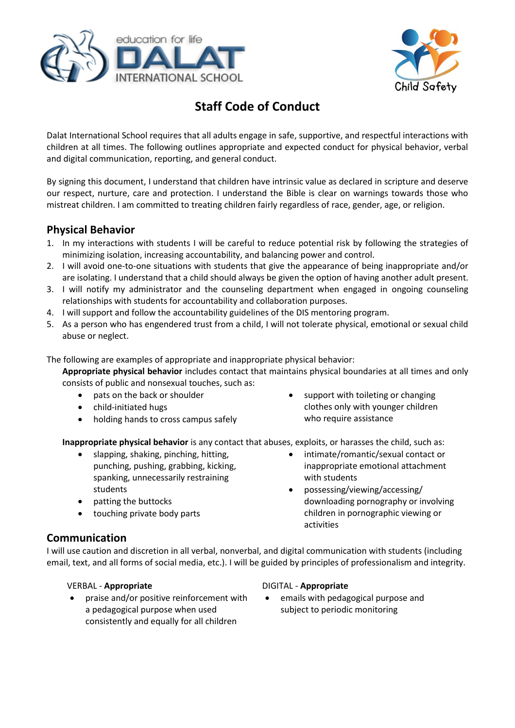



# **Staff Code of Conduct**

Dalat International School requires that all adults engage in safe, supportive, and respectful interactions with children at all times. The following outlines appropriate and expected conduct for physical behavior, verbal and digital communication, reporting, and general conduct.

By signing this document, I understand that children have intrinsic value as declared in scripture and deserve our respect, nurture, care and protection. I understand the Bible is clear on warnings towards those who mistreat children. I am committed to treating children fairly regardless of race, gender, age, or religion.

# **Physical Behavior**

- 1. In my interactions with students I will be careful to reduce potential risk by following the strategies of minimizing isolation, increasing accountability, and balancing power and control.
- 2. I will avoid one-to-one situations with students that give the appearance of being inappropriate and/or are isolating. I understand that a child should always be given the option of having another adult present.
- 3. I will notify my administrator and the counseling department when engaged in ongoing counseling relationships with students for accountability and collaboration purposes.
- 4. I will support and follow the accountability guidelines of the DIS mentoring program.
- 5. As a person who has engendered trust from a child, I will not tolerate physical, emotional or sexual child abuse or neglect.

The following are examples of appropriate and inappropriate physical behavior:

**Appropriate physical behavior** includes contact that maintains physical boundaries at all times and only consists of public and nonsexual touches, such as:

- pats on the back or shoulder
- child-initiated hugs
- holding hands to cross campus safely
- support with toileting or changing clothes only with younger children who require assistance

**Inappropriate physical behavior** is any contact that abuses, exploits, or harasses the child, such as:

- slapping, shaking, pinching, hitting, punching, pushing, grabbing, kicking, spanking, unnecessarily restraining students
- patting the buttocks
- touching private body parts
- intimate/romantic/sexual contact or inappropriate emotional attachment with students
- possessing/viewing/accessing/ downloading pornography or involving children in pornographic viewing or activities

## **Communication**

I will use caution and discretion in all verbal, nonverbal, and digital communication with students (including email, text, and all forms of social media, etc.). I will be guided by principles of professionalism and integrity.

### VERBAL - **Appropriate** DIGITAL - **Appropriate**

 praise and/or positive reinforcement with a pedagogical purpose when used consistently and equally for all children

 emails with pedagogical purpose and subject to periodic monitoring